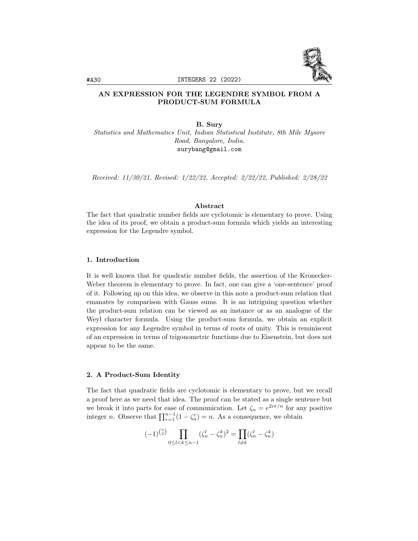

# AN EXPRESSION FOR THE LEGENDRE SYMBOL FROM A PRODUCT-SUM FORMULA

B. Sury

Statistics and Mathematics Unit, Indian Statistical Institute, 8th Mile Mysore Road, Bangalore, India. surybang@gmail.com

Received: 11/30/21, Revised: 1/22/22, Accepted: 2/22/22, Published: 2/28/22

# Abstract

The fact that quadratic number fields are cyclotomic is elementary to prove. Using the idea of its proof, we obtain a product-sum formula which yields an interesting expression for the Legendre symbol.

# 1. Introduction

It is well known that for quadratic number fields, the assertion of the Kronecker-Weber theorem is elementary to prove. In fact, one can give a 'one-sentence' proof of it. Following up on this idea, we observe in this note a product-sum relation that emanates by comparison with Gauss sums. It is an intriguing question whether the product-sum relation can be viewed as an instance or as an analogue of the Weyl character formula. Using the product-sum formula, we obtain an explicit expression for any Legendre symbol in terms of roots of unity. This is reminiscent of an expression in terms of trigonometric functions due to Eisenstein, but does not appear to be the same.

### 2. A Product-Sum Identity

The fact that quadratic fields are cyclotomic is elementary to prove, but we recall a proof here as we need that idea. The proof can be stated as a single sentence but we break it into parts for ease of communication. Let  $\zeta_n = e^{2i\pi/n}$  for any positive integer *n*. Observe that  $\prod_{r=1}^{n-1} (1 - \zeta_n^r) = n$ . As a consequence, we obtain

$$
(-1)^{\binom{n}{2}} \prod_{0 \le l < k \le n-1} (\zeta_n^l - \zeta_n^k)^2 = \prod_{l \ne k} (\zeta_n^l - \zeta_n^k)
$$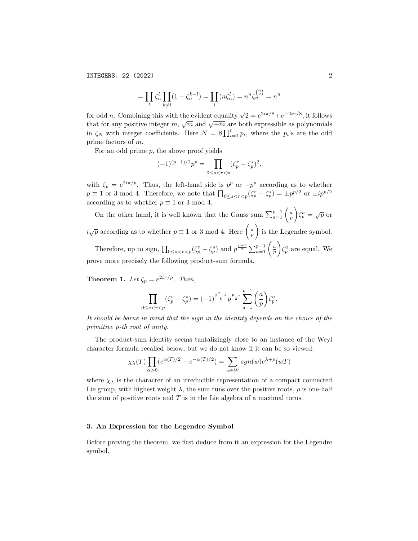INTEGERS: 22 (2022) 2

$$
= \prod_{l} \zeta_n^l \prod_{k \neq l} (1 - \zeta_n^{k-l}) = \prod_{l} (n \zeta_n^l) = n^n \zeta_n^{n \choose 2} = n^n
$$

for odd *n*. Combining this with the evident equality  $\sqrt{2} = e^{2i\pi/8} + e^{-2i\pi/8}$ , it follows that for any positive integer  $m$ ,  $\sqrt{m}$  and  $\sqrt{-m}$  are both expressible as polynomials in  $\zeta_N$  with integer coefficients. Here  $N = 8 \prod_{i=1}^r p_i$ , where the  $p_i$ 's are the odd prime factors of m.

For an odd prime  $p$ , the above proof yields

$$
(-1)^{(p-1)/2}p^p = \prod_{0 \le s < r < p} (\zeta_p^r - \zeta_p^s)^2,
$$

with  $\zeta_p = e^{2i\pi/p}$ . Thus, the left-hand side is  $p^p$  or  $-p^p$  according as to whether  $p \equiv 1$  or 3 mod 4. Therefore, we note that  $\prod_{0 \leq s < r < p} (\zeta_p^r - \zeta_p^s) = \pm p^{p/2}$  or  $\pm i p^{p/2}$ according as to whether  $p \equiv 1$  or 3 mod 4.

On the other hand, it is well known that the Gauss sum  $\sum_{a=1}^{p-1} \left( \frac{a}{p} \right)$  $\bigg\} \zeta_p^a = \sqrt{p}$  or  $i\sqrt{p}$  according as to whether  $p \equiv 1$  or 3 mod 4. Here  $\left(\frac{a}{p}\right)$ ) is the Legendre symbol. Therefore, up to sign,  $\prod_{0 \leq s < r < p} (\zeta_p^r - \zeta_p^s)$  and  $p^{\frac{p-1}{2}} \sum_{a=1}^{p-1} \left( \frac{a}{p} \right)$  $\Big\} \zeta_p^a$  are equal. We prove more precisely the following product-sum formula.

**Theorem 1.** Let  $\zeta_p = e^{2i\pi/p}$ . Then,

$$
\prod_{0 \le s < r < p} (\zeta_p^r - \zeta_p^s) = (-1)^{\frac{p^2-1}{8}} p^{\frac{p-1}{2}} \sum_{a=1}^{p-1} \binom{a}{p} \zeta_p^a.
$$

It should be borne in mind that the sign in the identity depends on the choice of the primitive p-th root of unity.

The product-sum identity seems tantalizingly close to an instance of the Weyl character formula recalled below, but we do not know if it can be so viewed:

$$
\chi_{\lambda}(T) \prod_{\alpha>0} (e^{\alpha(T)/2} - e^{-\alpha(T)/2}) = \sum_{w \in W} sgn(w) e^{\lambda + \rho}(wT)
$$

where  $\chi_{\lambda}$  is the character of an irreducible representation of a compact connected Lie group, with highest weight  $\lambda$ , the sum runs over the positive roots,  $\rho$  is one-half the sum of positive roots and  $T$  is in the Lie algebra of a maximal torus.

#### 3. An Expression for the Legendre Symbol

Before proving the theorem, we first deduce from it an expression for the Legendre symbol.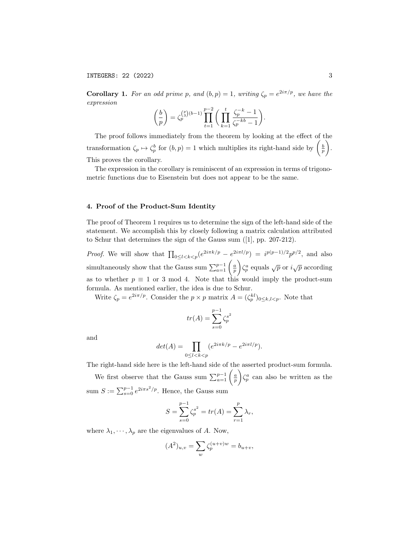## INTEGERS: 22 (2022) 3

**Corollary 1.** For an odd prime p, and  $(b, p) = 1$ , writing  $\zeta_p = e^{2i\pi/p}$ , we have the expression

$$
\left(\frac{b}{p}\right) = \zeta_p^{\binom{p}{3}(b-1)} \prod_{t=1}^{p-2} \left(\prod_{k=1}^t \frac{\zeta_p^{-k} - 1}{\zeta_p^{-kb} - 1}\right).
$$

The proof follows immediately from the theorem by looking at the effect of the transformation  $\zeta_p \mapsto \zeta_p^b$  for  $(b, p) = 1$  which multiplies its right-hand side by  $\left(\frac{b}{p}\right)$  . This proves the corollary.

The expression in the corollary is reminiscent of an expression in terms of trigonometric functions due to Eisenstein but does not appear to be the same.

### 4. Proof of the Product-Sum Identity

The proof of Theorem 1 requires us to determine the sign of the left-hand side of the statement. We accomplish this by closely following a matrix calculation attributed to Schur that determines the sign of the Gauss sum ([1], pp. 207-212).

*Proof.* We will show that  $\prod_{0 \leq l < k < p} (e^{2i\pi k/p} - e^{2i\pi l/p}) = i^{p(p-1)/2} p^{p/2}$ , and also simultaneously show that the Gauss sum  $\sum_{a=1}^{p-1} \left( \frac{a}{p} \right)$  $\Big\langle \zeta_p^a$  equals  $\sqrt{p}$  or  $i\sqrt{p}$  according as to whether  $p \equiv 1$  or 3 mod 4. Note that this would imply the product-sum formula. As mentioned earlier, the idea is due to Schur.

Write  $\zeta_p = e^{2i\pi/p}$ . Consider the  $p \times p$  matrix  $A = (\zeta_p^{kl})_{0 \leq k, l \leq p}$ . Note that

$$
tr(A) = \sum_{s=0}^{p-1} \zeta_p^{s^2}
$$

and

$$
det(A) = \prod_{0 \le l < k < p} (e^{2i\pi k/p} - e^{2i\pi l/p}).
$$

The right-hand side here is the left-hand side of the asserted product-sum formula.

We first observe that the Gauss sum  $\sum_{a=1}^{p-1} \left( \frac{a}{p} \right)$  $\int \zeta_p^a$  can also be written as the sum  $S := \sum_{s=0}^{p-1} e^{2i\pi s^2/p}$ . Hence, the Gauss sum

$$
S = \sum_{s=0}^{p-1} \zeta_p^{s^2} = tr(A) = \sum_{r=1}^p \lambda_r,
$$

where  $\lambda_1, \dots, \lambda_p$  are the eigenvalues of A. Now,

$$
(A^{2})_{u,v} = \sum_{w} \zeta_{p}^{(u+v)w} = b_{u+v},
$$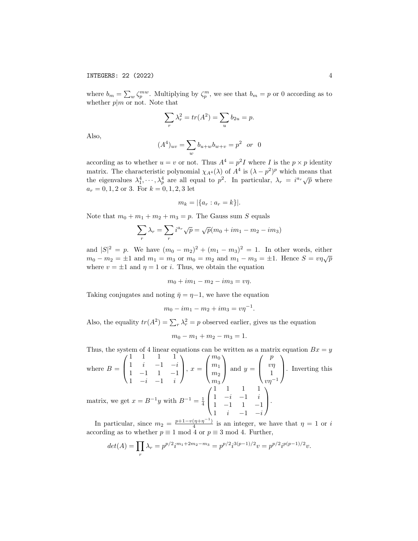where  $b_m = \sum_w \zeta_p^{mw}$ . Multiplying by  $\zeta_p^m$ , we see that  $b_m = p$  or 0 according as to whether  $p|m$  or not. Note that

$$
\sum_{r} \lambda_r^2 = tr(A^2) = \sum_{u} b_{2u} = p.
$$

Also,

$$
(A4)uv = \sum_{w} b_{u+w} b_{w+v} = p2 or 0
$$

according as to whether  $u = v$  or not. Thus  $A^4 = p^2 I$  where I is the  $p \times p$  identity matrix. The characteristic polynomial  $\chi_{A}(\lambda)$  of  $A^4$  is  $(\lambda - p^2)^p$  which means that the eigenvalues  $\lambda_1^4, \dots, \lambda_p^4$  are all equal to  $p^2$ . In particular,  $\lambda_r = i^{a_r} \sqrt{p}$  where  $a_r = 0, 1, 2 \text{ or } 3$ . For  $k = 0, 1, 2, 3$  let

$$
m_k = |\{a_r : a_r = k\}|.
$$

Note that  $m_0 + m_1 + m_2 + m_3 = p$ . The Gauss sum S equals

$$
\sum_{r} \lambda_r = \sum_{r} i^{a_r} \sqrt{p} = \sqrt{p}(m_0 + im_1 - m_2 - im_3)
$$

and  $|S|^2 = p$ . We have  $(m_0 - m_2)^2 + (m_1 - m_3)^2 = 1$ . In other words, either  $m_0 - m_2 = \pm 1$  and  $m_1 = m_3$  or  $m_0 = m_2$  and  $m_1 - m_3 = \pm 1$ . Hence  $S = v\eta\sqrt{p}$ where  $v = \pm 1$  and  $\eta = 1$  or *i*. Thus, we obtain the equation

$$
m_0 + im_1 - m_2 - im_3 = v\eta.
$$

Taking conjugates and noting  $\bar{\eta} = \eta - 1$ , we have the equation

$$
m_0 - im_1 - m_2 + im_3 = v\eta^{-1}.
$$

Also, the equality  $tr(A^2) = \sum_r \lambda_r^2 = p$  observed earlier, gives us the equation

$$
m_0 - m_1 + m_2 - m_3 = 1.
$$

Thus, the system of 4 linear equations can be written as a matrix equation  $Bx = y$ where  $B =$  $\sqrt{ }$  $\overline{ }$ 1 1 1 1 1  $i$  −1  $-i$ 1 −1 1 −1 1  $-i$   $-1$   $i$  $\setminus$  $\Big\}$ ,  $x =$  $\sqrt{ }$  $\overline{ }$  $m<sub>0</sub>$  $m<sub>1</sub>$  $m<sub>2</sub>$  $m<sub>3</sub>$  $\setminus$  $\int$  and  $y =$  $\sqrt{ }$  $\overline{ }$ p  $\overline{v}$ 1  $v\eta^{-1}$  $\setminus$ . Inverting this matrix, we get  $x = B^{-1}y$  with  $B^{-1} = \frac{1}{4}$  $\sqrt{ }$  $\overline{ }$ 1 1 1 1 1  $-i$   $-1$   $i$ 1 −1 1 −1 1  $i \t -1 \t -i$  $\setminus$  $\vert \cdot \vert$ −1

In particular, since  $m_2 = \frac{p+1-v(\eta+\eta^{-1})}{4}$  $\frac{(\eta + \eta)}{4}$  is an integer, we have that  $\eta = 1$  or i according as to whether  $p \equiv 1 \mod 4$  or  $p \equiv 3 \mod 4$ . Further,

$$
det(A) = \prod_r \lambda_r = p^{p/2} i^{m_1 + 2m_2 - m_3} = p^{p/2} i^{3(p-1)/2} v = p^{p/2} i^{p(p-1)/2} v.
$$